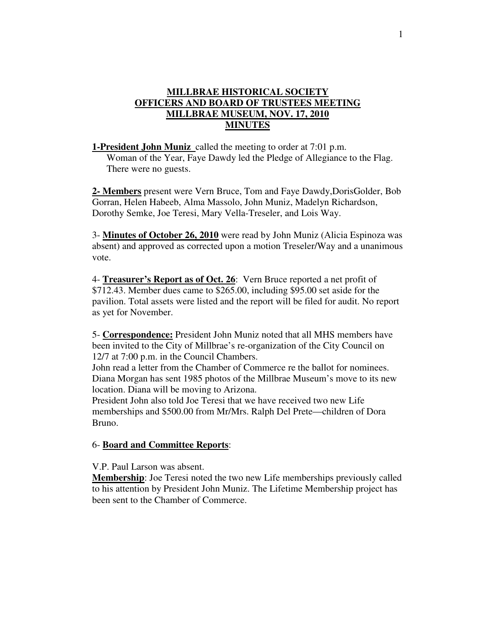## **MILLBRAE HISTORICAL SOCIETY OFFICERS AND BOARD OF TRUSTEES MEETING MILLBRAE MUSEUM, NOV. 17, 2010 MINUTES**

**1-President John Muniz** called the meeting to order at 7:01 p.m.

 Woman of the Year, Faye Dawdy led the Pledge of Allegiance to the Flag. There were no guests.

**2- Members** present were Vern Bruce, Tom and Faye Dawdy,DorisGolder, Bob Gorran, Helen Habeeb, Alma Massolo, John Muniz, Madelyn Richardson, Dorothy Semke, Joe Teresi, Mary Vella-Treseler, and Lois Way.

3- **Minutes of October 26, 2010** were read by John Muniz (Alicia Espinoza was absent) and approved as corrected upon a motion Treseler/Way and a unanimous vote.

4- **Treasurer's Report as of Oct. 26**: Vern Bruce reported a net profit of \$712.43. Member dues came to \$265.00, including \$95.00 set aside for the pavilion. Total assets were listed and the report will be filed for audit. No report as yet for November.

5- **Correspondence:** President John Muniz noted that all MHS members have been invited to the City of Millbrae's re-organization of the City Council on 12/7 at 7:00 p.m. in the Council Chambers.

John read a letter from the Chamber of Commerce re the ballot for nominees. Diana Morgan has sent 1985 photos of the Millbrae Museum's move to its new location. Diana will be moving to Arizona.

President John also told Joe Teresi that we have received two new Life memberships and \$500.00 from Mr/Mrs. Ralph Del Prete—children of Dora Bruno.

## 6- **Board and Committee Reports**:

V.P. Paul Larson was absent.

**Membership**: Joe Teresi noted the two new Life memberships previously called to his attention by President John Muniz. The Lifetime Membership project has been sent to the Chamber of Commerce.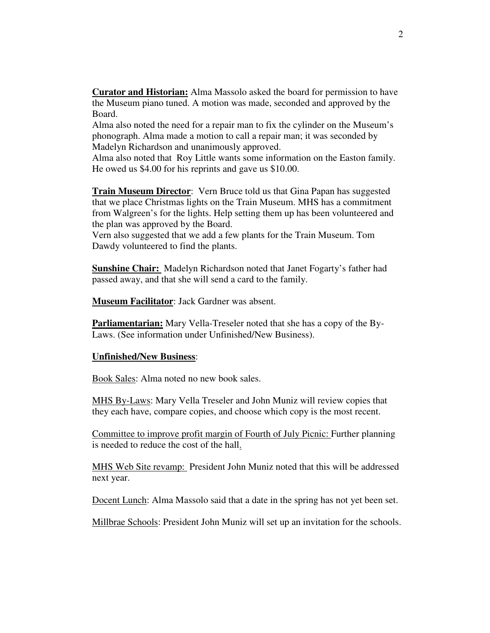**Curator and Historian:** Alma Massolo asked the board for permission to have the Museum piano tuned. A motion was made, seconded and approved by the Board.

Alma also noted the need for a repair man to fix the cylinder on the Museum's phonograph. Alma made a motion to call a repair man; it was seconded by Madelyn Richardson and unanimously approved.

Alma also noted that Roy Little wants some information on the Easton family. He owed us \$4.00 for his reprints and gave us \$10.00.

**Train Museum Director**: Vern Bruce told us that Gina Papan has suggested that we place Christmas lights on the Train Museum. MHS has a commitment from Walgreen's for the lights. Help setting them up has been volunteered and the plan was approved by the Board.

Vern also suggested that we add a few plants for the Train Museum. Tom Dawdy volunteered to find the plants.

**Sunshine Chair:** Madelyn Richardson noted that Janet Fogarty's father had passed away, and that she will send a card to the family.

**Museum Facilitator**: Jack Gardner was absent.

**Parliamentarian:** Mary Vella-Treseler noted that she has a copy of the By-Laws. (See information under Unfinished/New Business).

## **Unfinished/New Business**:

Book Sales: Alma noted no new book sales.

MHS By-Laws: Mary Vella Treseler and John Muniz will review copies that they each have, compare copies, and choose which copy is the most recent.

Committee to improve profit margin of Fourth of July Picnic: Further planning is needed to reduce the cost of the hall.

MHS Web Site revamp: President John Muniz noted that this will be addressed next year.

Docent Lunch: Alma Massolo said that a date in the spring has not yet been set.

Millbrae Schools: President John Muniz will set up an invitation for the schools.